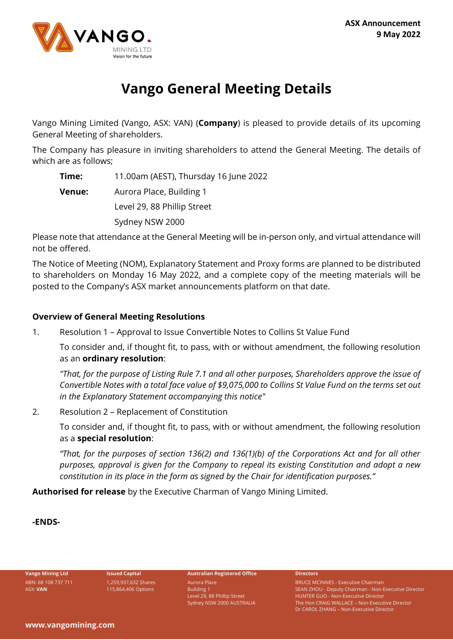

# **Vango General Meeting Details**

Vango Mining Limited (Vango, ASX: VAN) (**Company**) is pleased to provide details of its upcoming General Meeting of shareholders.

The Company has pleasure in inviting shareholders to attend the General Meeting. The details of which are as follows;

**Time:** 11.00am (AEST), Thursday 16 June 2022

**Venue:** Aurora Place, Building 1

Level 29, 88 Phillip Street

Sydney NSW 2000

Please note that attendance at the General Meeting will be in-person only, and virtual attendance will not be offered.

The Notice of Meeting (NOM), Explanatory Statement and Proxy forms are planned to be distributed to shareholders on Monday 16 May 2022, and a complete copy of the meeting materials will be posted to the Company's ASX market announcements platform on that date.

# **Overview of General Meeting Resolutions**

1. Resolution 1 – Approval to Issue Convertible Notes to Collins St Value Fund

To consider and, if thought fit, to pass, with or without amendment, the following resolution as an **ordinary resolution**:

*"That, for the purpose of Listing Rule 7.1 and all other purposes, Shareholders approve the issue of Convertible Notes with a total face value of \$9,075,000 to Collins St Value Fund on the terms set out in the Explanatory Statement accompanying this notice"*

2. Resolution 2 – Replacement of Constitution

To consider and, if thought fit, to pass, with or without amendment, the following resolution as a **special resolution**:

*"That, for the purposes of section 136(2) and 136(1)(b) of the Corporations Act and for all other purposes, approval is given for the Company to repeal its existing Constitution and adopt a new constitution in its place in the form as signed by the Chair for identification purposes."*

**Authorised for release** by the Executive Charman of Vango Mining Limited.

**-ENDS-**

ABN: 68 108 737 711 ASX: **VAN**

1,259,937,632 Shares 115,864,406 Options

**Vango Mining Ltd Issued Capital Australian Registered Office Directors**

Aurora Place Building 1 Level 29, 88 Phillip Street Sydney NSW 2000 AUSTRALIA

BRUCE MCINNES - Executive Chairman SEAN ZHOU - Deputy Chairman - Non-Executive Director HUNTER GUO - Non-Executive Director The Hon CRAIG WALLACE – Non-Executive Director Dr CAROL ZHANG – Non-Executive Director